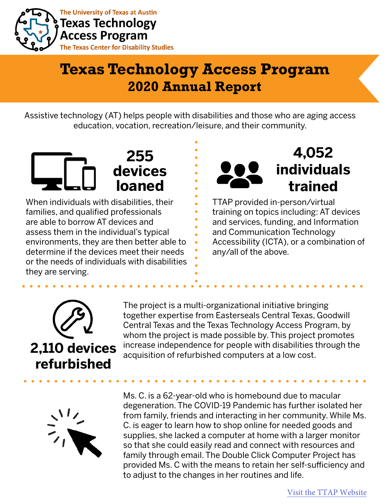

The University of Texas at Austin **Texas Technology Access Program The Texas Center for Disability Studies** 

## **Texas Technology Access Program 2020 Annual Report**

Assistive technology (AT) helps people with disabilities and those who are aging access education, vocation, recreation/leisure, and their community.



When individuals with disabilities, their families, and qualified professionals are able to borrow AT devices and assess them in the individual's typical environments, they are then better able to determine if the devices meet their needs or the needs of individuals with disabilities they are serving.



TTAP provided in-person/virtual training on topics including: AT devices and services, funding, and Information and Communication Technology Accessibility (ICTA), or a combination of any/all of the above.



The project is a multi-organizational initiative bringing together expertise from Easterseals Central Texas, Goodwill Central Texas and the Texas Technology Access Program, by whom the project is made possible by. This project promotes increase independence for people with disabilities through the **2,110 devices** increase independence for people with disabilities to acquisition of refurbished computers at a low cost.



Ms. C. is a 62-year-old who is homebound due to macular degeneration. The COVID-19 Pandemic has further isolated her from family, friends and interacting in her community. While Ms. C. is eager to learn how to shop online for needed goods and supplies, she lacked a computer at home with a larger monitor so that she could easily read and connect with resources and family through email. The Double Click Computer Project has provided Ms. C with the means to retain her self-sufficiency and to adjust to the changes in her routines and life.